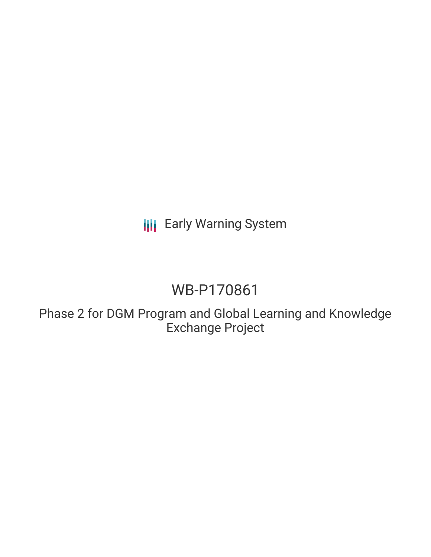**III** Early Warning System

# WB-P170861

Phase 2 for DGM Program and Global Learning and Knowledge Exchange Project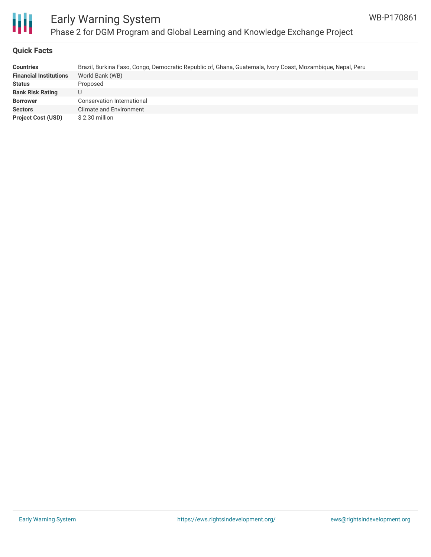

#### **Quick Facts**

| <b>Countries</b>              | Brazil, Burkina Faso, Congo, Democratic Republic of, Ghana, Guatemala, Ivory Coast, Mozambique, Nepal, Peru |
|-------------------------------|-------------------------------------------------------------------------------------------------------------|
| <b>Financial Institutions</b> | World Bank (WB)                                                                                             |
| <b>Status</b>                 | Proposed                                                                                                    |
| <b>Bank Risk Rating</b>       | U                                                                                                           |
| <b>Borrower</b>               | Conservation International                                                                                  |
| <b>Sectors</b>                | Climate and Environment                                                                                     |
| <b>Project Cost (USD)</b>     | $$2.30$ million                                                                                             |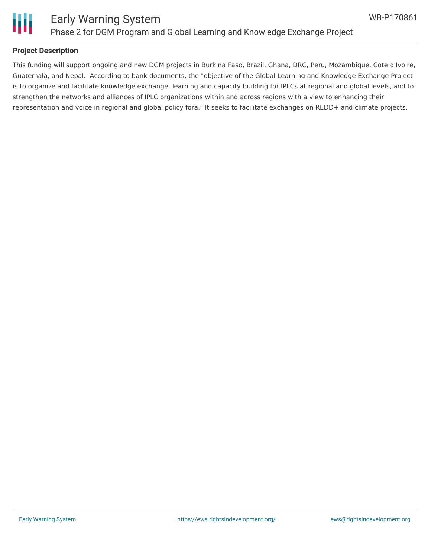



#### **Project Description**

This funding will support ongoing and new DGM projects in Burkina Faso, Brazil, Ghana, DRC, Peru, Mozambique, Cote d'Ivoire, Guatemala, and Nepal. According to bank documents, the "objective of the Global Learning and Knowledge Exchange Project is to organize and facilitate knowledge exchange, learning and capacity building for IPLCs at regional and global levels, and to strengthen the networks and alliances of IPLC organizations within and across regions with a view to enhancing their representation and voice in regional and global policy fora." It seeks to facilitate exchanges on REDD+ and climate projects.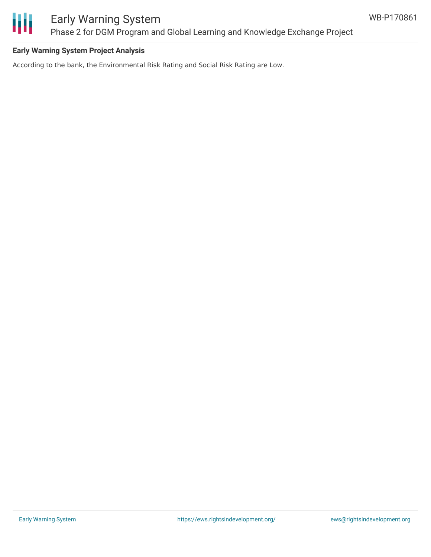

#### **Early Warning System Project Analysis**

According to the bank, the Environmental Risk Rating and Social Risk Rating are Low.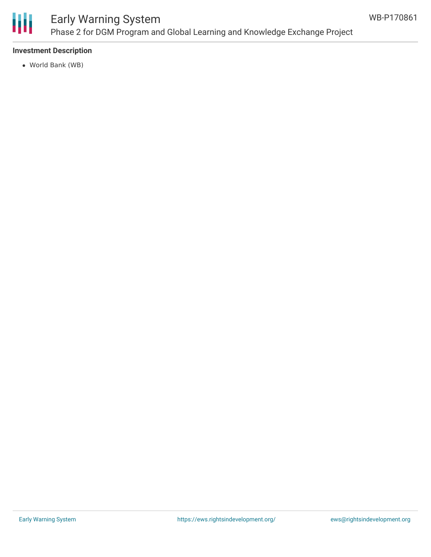

#### **Investment Description**

World Bank (WB)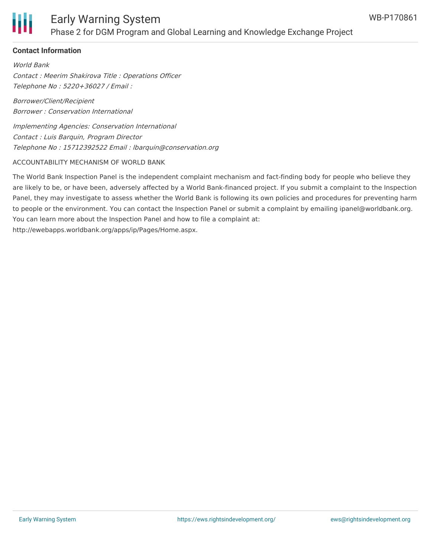

#### **Contact Information**

World Bank Contact : Meerim Shakirova Title : Operations Officer Telephone No : 5220+36027 / Email :

Borrower/Client/Recipient Borrower : Conservation International

Implementing Agencies: Conservation International Contact : Luis Barquin, Program Director Telephone No : 15712392522 Email : lbarquin@conservation.org

#### ACCOUNTABILITY MECHANISM OF WORLD BANK

The World Bank Inspection Panel is the independent complaint mechanism and fact-finding body for people who believe they are likely to be, or have been, adversely affected by a World Bank-financed project. If you submit a complaint to the Inspection Panel, they may investigate to assess whether the World Bank is following its own policies and procedures for preventing harm to people or the environment. You can contact the Inspection Panel or submit a complaint by emailing ipanel@worldbank.org. You can learn more about the Inspection Panel and how to file a complaint at: http://ewebapps.worldbank.org/apps/ip/Pages/Home.aspx.